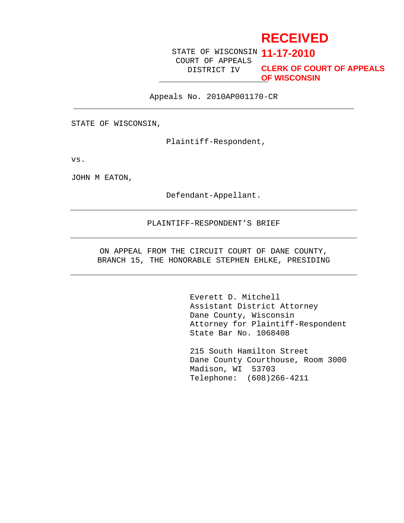# **RECEIVED**

STATE OF WISCONSIN **11-17-2010** COURT OF APPEALS DISTRICT IV

\_\_\_\_\_\_\_\_\_\_\_\_\_\_\_\_\_\_\_\_\_\_\_ **OF WISCONSINCLERK OF COURT OF APPEALS**

Appeals No. 2010AP001170-CR \_\_\_\_\_\_\_\_\_\_\_\_\_\_\_\_\_\_\_\_\_\_\_\_\_\_\_\_\_\_\_\_\_\_\_\_\_\_\_\_\_\_\_\_\_\_\_\_\_\_\_\_\_\_\_\_\_\_\_

STATE OF WISCONSIN,

Plaintiff-Respondent,

vs.

JOHN M EATON,

Defendant-Appellant.

#### PLAINTIFF-RESPONDENT'S BRIEF

ON APPEAL FROM THE CIRCUIT COURT OF DANE COUNTY, BRANCH 15, THE HONORABLE STEPHEN EHLKE, PRESIDING

> Everett D. Mitchell Assistant District Attorney Dane County, Wisconsin Attorney for Plaintiff-Respondent State Bar No. 1068408

> 215 South Hamilton Street Dane County Courthouse, Room 3000 Madison, WI 53703 Telephone: (608)266-4211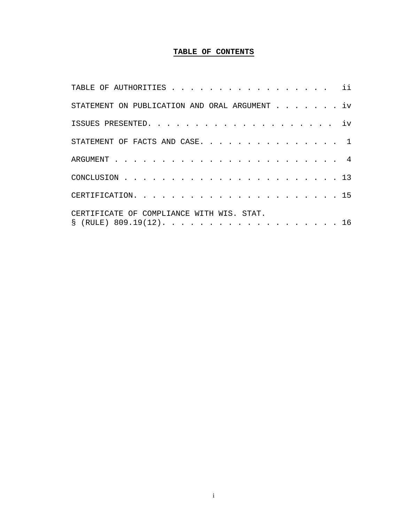# **TABLE OF CONTENTS**

| TABLE OF AUTHORITIES ii                       |
|-----------------------------------------------|
| STATEMENT ON PUBLICATION AND ORAL ARGUMENT iv |
|                                               |
| STATEMENT OF FACTS AND CASE. 1                |
|                                               |
|                                               |
|                                               |
| CERTIFICATE OF COMPLIANCE WITH WIS. STAT.     |
| $\S$ (RULE) 809.19(12). 16                    |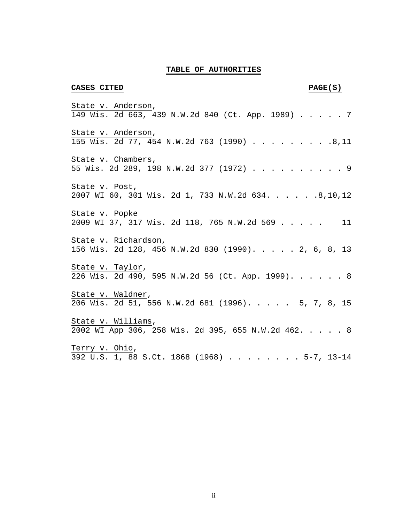#### **TABLE OF AUTHORITIES**

#### **CASES CITED PAGE(S)**

State v. Anderson, 149 Wis. 2d 663, 439 N.W.2d 840 (Ct. App. 1989) . . . . . 7 State v. Anderson, 155 Wis. 2d 77, 454 N.W.2d 763 (1990) . . . . . . . . .8,11 State v. Chambers, 55 Wis. 2d 289, 198 N.W.2d 377 (1972) . . . . . . . . . . 9 State v. Post, 2007 WI 60, 301 Wis. 2d 1, 733 N.W.2d 634. . . . . .8,10,12 State v. Popke 2009 WI 37, 317 Wis. 2d 118, 765 N.W.2d 569 . . . . . 11 State v. Richardson, 156 Wis. 2d 128, 456 N.W.2d 830 (1990). . . . . 2, 6, 8, 13 State v. Taylor,  $\overline{226}$  Wis. 2d 490, 595 N.W.2d 56 (Ct. App. 1999). . . . . . 8 State v. Waldner, 206 Wis. 2d 51, 556 N.W.2d 681 (1996). . . . . 5, 7, 8, 15 State v. Williams, 2002 WI App 306, 258 Wis. 2d 395, 655 N.W.2d 462. . . . . 8 Terry v. Ohio, 392 U.S. 1, 88 S.Ct. 1868 (1968) . . . . . . . . 5-7, 13-14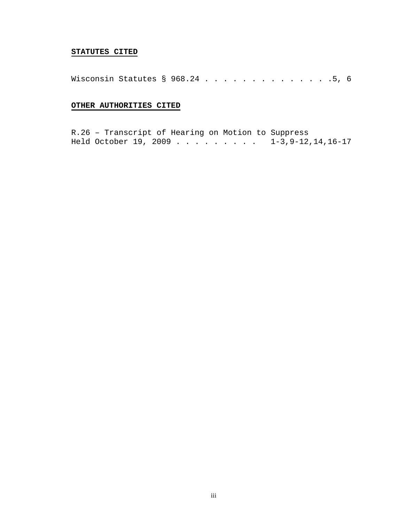## **STATUTES CITED**

Wisconsin Statutes § 968.24 . . . . . . . . . . . . . . 5, 6

# **OTHER AUTHORITIES CITED**

R.26 – Transcript of Hearing on Motion to Suppress Held October 19, 2009 . . . . . . . . . 1-3, 9-12, 14, 16-17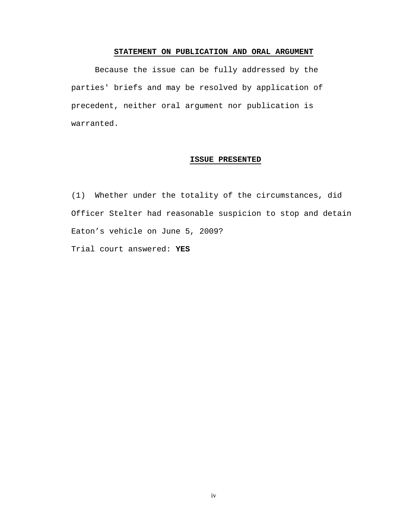### **STATEMENT ON PUBLICATION AND ORAL ARGUMENT**

Because the issue can be fully addressed by the parties' briefs and may be resolved by application of precedent, neither oral argument nor publication is warranted.

# **ISSUE PRESENTED**

(1) Whether under the totality of the circumstances, did Officer Stelter had reasonable suspicion to stop and detain Eaton's vehicle on June 5, 2009?

Trial court answered: **YES**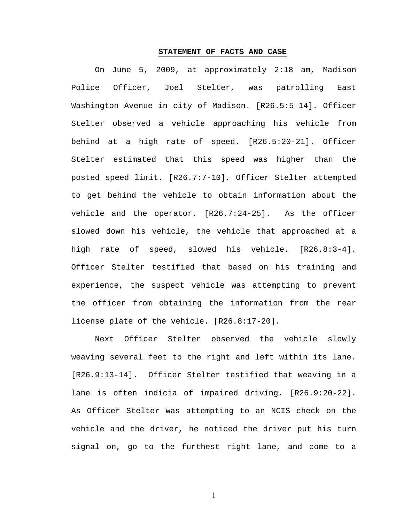#### **STATEMENT OF FACTS AND CASE**

On June 5, 2009, at approximately 2:18 am, Madison Police Officer, Joel Stelter, was patrolling East Washington Avenue in city of Madison. [R26.5:5-14]. Officer Stelter observed a vehicle approaching his vehicle from behind at a high rate of speed. [R26.5:20-21]. Officer Stelter estimated that this speed was higher than the posted speed limit. [R26.7:7-10]. Officer Stelter attempted to get behind the vehicle to obtain information about the vehicle and the operator. [R26.7:24-25]. As the officer slowed down his vehicle, the vehicle that approached at a high rate of speed, slowed his vehicle. [R26.8:3-4]. Officer Stelter testified that based on his training and experience, the suspect vehicle was attempting to prevent the officer from obtaining the information from the rear license plate of the vehicle. [R26.8:17-20].

Next Officer Stelter observed the vehicle slowly weaving several feet to the right and left within its lane. [R26.9:13-14]. Officer Stelter testified that weaving in a lane is often indicia of impaired driving. [R26.9:20-22]. As Officer Stelter was attempting to an NCIS check on the vehicle and the driver, he noticed the driver put his turn signal on, go to the furthest right lane, and come to a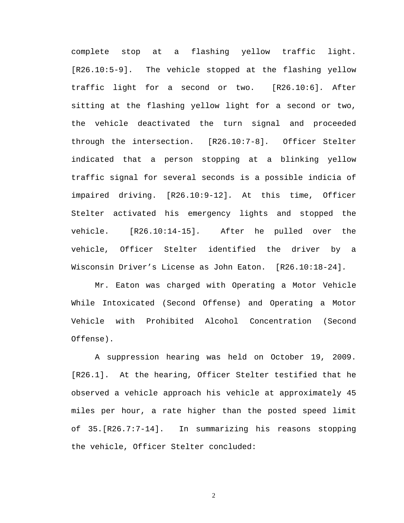complete stop at a flashing yellow traffic light. [R26.10:5-9]. The vehicle stopped at the flashing yellow traffic light for a second or two. [R26.10:6]. After sitting at the flashing yellow light for a second or two, the vehicle deactivated the turn signal and proceeded through the intersection. [R26.10:7-8]. Officer Stelter indicated that a person stopping at a blinking yellow traffic signal for several seconds is a possible indicia of impaired driving. [R26.10:9-12]. At this time, Officer Stelter activated his emergency lights and stopped the vehicle. [R26.10:14-15]. After he pulled over the vehicle, Officer Stelter identified the driver by a Wisconsin Driver's License as John Eaton. [R26.10:18-24].

Mr. Eaton was charged with Operating a Motor Vehicle While Intoxicated (Second Offense) and Operating a Motor Vehicle with Prohibited Alcohol Concentration (Second Offense).

A suppression hearing was held on October 19, 2009. [R26.1]. At the hearing, Officer Stelter testified that he observed a vehicle approach his vehicle at approximately 45 miles per hour, a rate higher than the posted speed limit of 35.[R26.7:7-14]. In summarizing his reasons stopping the vehicle, Officer Stelter concluded: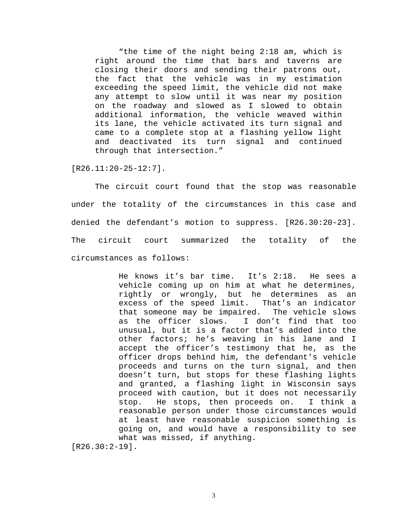"the time of the night being 2:18 am, which is right around the time that bars and taverns are closing their doors and sending their patrons out, the fact that the vehicle was in my estimation exceeding the speed limit, the vehicle did not make any attempt to slow until it was near my position on the roadway and slowed as I slowed to obtain additional information, the vehicle weaved within its lane, the vehicle activated its turn signal and came to a complete stop at a flashing yellow light and deactivated its turn signal and continued through that intersection."

[R26.11:20-25-12:7].

The circuit court found that the stop was reasonable under the totality of the circumstances in this case and denied the defendant's motion to suppress. [R26.30:20-23]. The circuit court summarized the totality of the circumstances as follows:

> He knows it's bar time. It's 2:18. He sees a vehicle coming up on him at what he determines, rightly or wrongly, but he determines as an excess of the speed limit. That's an indicator that someone may be impaired. The vehicle slows as the officer slows. I don't find that too unusual, but it is a factor that's added into the other factors; he's weaving in his lane and I accept the officer's testimony that he, as the officer drops behind him, the defendant's vehicle proceeds and turns on the turn signal, and then doesn't turn, but stops for these flashing lights and granted, a flashing light in Wisconsin says proceed with caution, but it does not necessarily stop. He stops, then proceeds on. I think a reasonable person under those circumstances would at least have reasonable suspicion something is going on, and would have a responsibility to see what was missed, if anything.

[R26.30:2-19].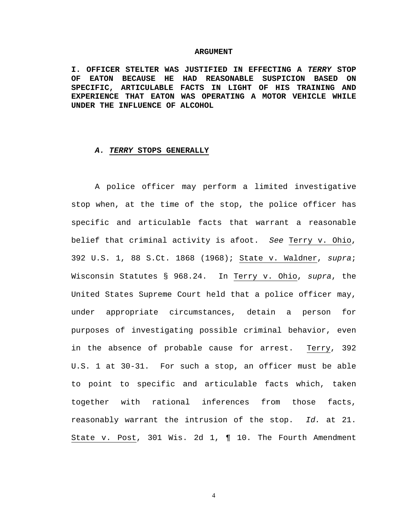#### **ARGUMENT**

**I. OFFICER STELTER WAS JUSTIFIED IN EFFECTING A TERRY STOP OF EATON BECAUSE HE HAD REASONABLE SUSPICION BASED ON SPECIFIC, ARTICULABLE FACTS IN LIGHT OF HIS TRAINING AND EXPERIENCE THAT EATON WAS OPERATING A MOTOR VEHICLE WHILE UNDER THE INFLUENCE OF ALCOHOL** 

#### **A. TERRY STOPS GENERALLY**

A police officer may perform a limited investigative stop when, at the time of the stop, the police officer has specific and articulable facts that warrant a reasonable belief that criminal activity is afoot. See Terry v. Ohio, 392 U.S. 1, 88 S.Ct. 1868 (1968); State v. Waldner, supra; Wisconsin Statutes § 968.24. In Terry v. Ohio, supra, the United States Supreme Court held that a police officer may, under appropriate circumstances, detain a person for purposes of investigating possible criminal behavior, even in the absence of probable cause for arrest. Terry, 392 U.S. 1 at 30-31. For such a stop, an officer must be able to point to specific and articulable facts which, taken together with rational inferences from those facts, reasonably warrant the intrusion of the stop. Id. at 21. State v. Post, 301 Wis. 2d 1, ¶ 10. The Fourth Amendment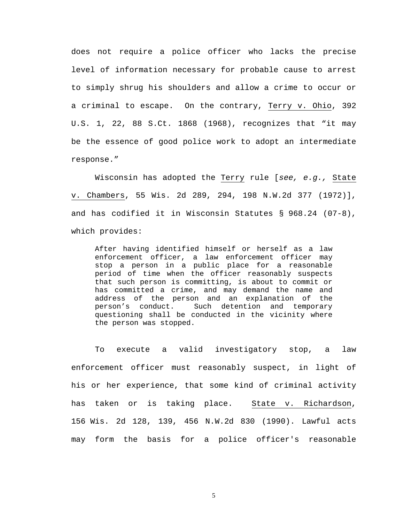does not require a police officer who lacks the precise level of information necessary for probable cause to arrest to simply shrug his shoulders and allow a crime to occur or a criminal to escape. On the contrary, Terry v. Ohio, 392 U.S. 1, 22, 88 S.Ct. 1868 (1968), recognizes that "it may be the essence of good police work to adopt an intermediate response."

Wisconsin has adopted the Terry rule [see, e.g., State v. Chambers, 55 Wis. 2d 289, 294, 198 N.W.2d 377 (1972)], and has codified it in Wisconsin Statutes § 968.24 (07-8), which provides:

After having identified himself or herself as a law enforcement officer, a law enforcement officer may stop a person in a public place for a reasonable period of time when the officer reasonably suspects that such person is committing, is about to commit or has committed a crime, and may demand the name and address of the person and an explanation of the person's conduct. Such detention and temporary questioning shall be conducted in the vicinity where the person was stopped.

To execute a valid investigatory stop, a law enforcement officer must reasonably suspect, in light of his or her experience, that some kind of criminal activity has taken or is taking place. State v. Richardson, 156 Wis. 2d 128, 139, 456 N.W.2d 830 (1990). Lawful acts may form the basis for a police officer's reasonable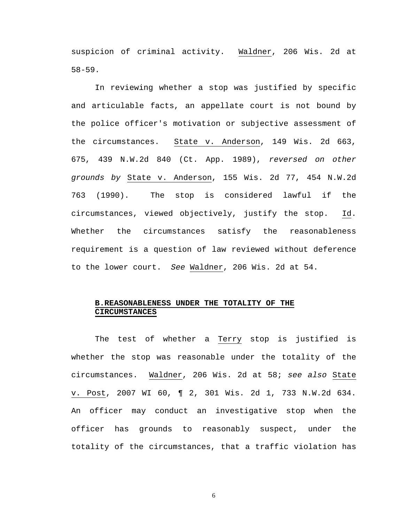suspicion of criminal activity. Waldner, 206 Wis. 2d at 58-59.

In reviewing whether a stop was justified by specific and articulable facts, an appellate court is not bound by the police officer's motivation or subjective assessment of the circumstances. State v. Anderson, 149 Wis. 2d 663, 675, 439 N.W.2d 840 (Ct. App. 1989), reversed on other grounds by State v. Anderson, 155 Wis. 2d 77, 454 N.W.2d 763 (1990). The stop is considered lawful if the circumstances, viewed objectively, justify the stop. Id. Whether the circumstances satisfy the reasonableness requirement is a question of law reviewed without deference to the lower court. See Waldner, 206 Wis. 2d at 54.

# **B.REASONABLENESS UNDER THE TOTALITY OF THE CIRCUMSTANCES**

The test of whether a Terry stop is justified is whether the stop was reasonable under the totality of the circumstances. Waldner, 206 Wis. 2d at 58; see also State v. Post, 2007 WI 60, ¶ 2, 301 Wis. 2d 1, 733 N.W.2d 634. An officer may conduct an investigative stop when the officer has grounds to reasonably suspect, under the totality of the circumstances, that a traffic violation has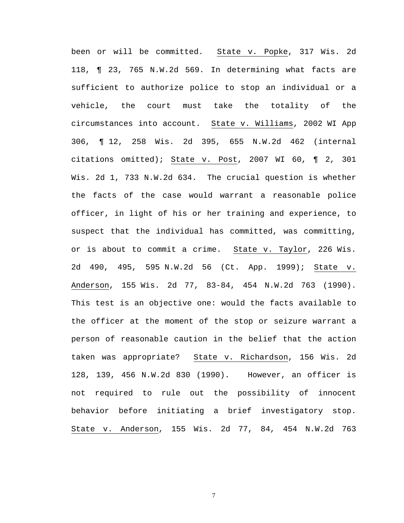been or will be committed. State v. Popke, 317 Wis. 2d 118, ¶ 23, 765 N.W.2d 569. In determining what facts are sufficient to authorize police to stop an individual or a vehicle, the court must take the totality of the circumstances into account. State v. Williams, 2002 WI App 306, ¶ 12, 258 Wis. 2d 395, 655 N.W.2d 462 (internal citations omitted); State v. Post, 2007 WI 60, ¶ 2, 301 Wis. 2d 1, 733 N.W.2d 634. The crucial question is whether the facts of the case would warrant a reasonable police officer, in light of his or her training and experience, to suspect that the individual has committed, was committing, or is about to commit a crime. State v. Taylor, 226 Wis. 2d 490, 495, 595 N.W.2d 56 (Ct. App. 1999); State v. Anderson, 155 Wis. 2d 77, 83-84, 454 N.W.2d 763 (1990). This test is an objective one: would the facts available to the officer at the moment of the stop or seizure warrant a person of reasonable caution in the belief that the action taken was appropriate? State v. Richardson, 156 Wis. 2d 128, 139, 456 N.W.2d 830 (1990). However, an officer is not required to rule out the possibility of innocent behavior before initiating a brief investigatory stop. State v. Anderson, 155 Wis. 2d 77, 84, 454 N.W.2d 763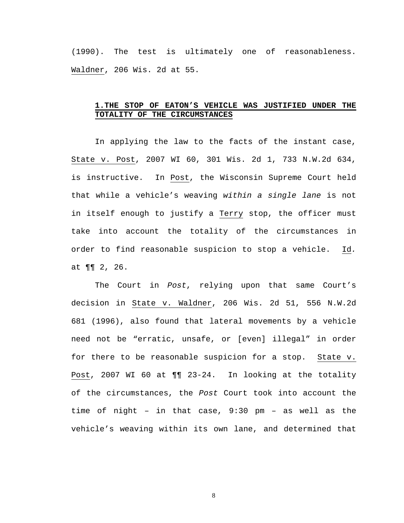(1990). The test is ultimately one of reasonableness. Waldner, 206 Wis. 2d at 55.

# **1.THE STOP OF EATON'S VEHICLE WAS JUSTIFIED UNDER THE TOTALITY OF THE CIRCUMSTANCES**

In applying the law to the facts of the instant case, State v. Post, 2007 WI 60, 301 Wis. 2d 1, 733 N.W.2d 634, is instructive. In Post, the Wisconsin Supreme Court held that while a vehicle's weaving within a single lane is not in itself enough to justify a Terry stop, the officer must take into account the totality of the circumstances in order to find reasonable suspicion to stop a vehicle. Id. at ¶¶ 2, 26.

The Court in Post, relying upon that same Court's decision in State v. Waldner, 206 Wis. 2d 51, 556 N.W.2d 681 (1996), also found that lateral movements by a vehicle need not be "erratic, unsafe, or [even] illegal" in order for there to be reasonable suspicion for a stop. State v. Post, 2007 WI 60 at ¶¶ 23-24. In looking at the totality of the circumstances, the Post Court took into account the time of night – in that case, 9:30 pm – as well as the vehicle's weaving within its own lane, and determined that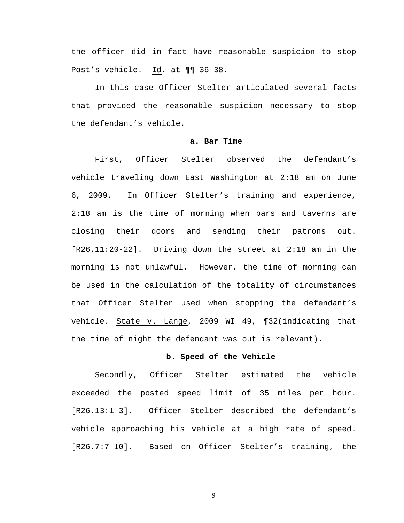the officer did in fact have reasonable suspicion to stop Post's vehicle. Id. at ¶¶ 36-38.

In this case Officer Stelter articulated several facts that provided the reasonable suspicion necessary to stop the defendant's vehicle.

#### **a. Bar Time**

First, Officer Stelter observed the defendant's vehicle traveling down East Washington at 2:18 am on June 6, 2009. In Officer Stelter's training and experience, 2:18 am is the time of morning when bars and taverns are closing their doors and sending their patrons out. [R26.11:20-22]. Driving down the street at 2:18 am in the morning is not unlawful. However, the time of morning can be used in the calculation of the totality of circumstances that Officer Stelter used when stopping the defendant's vehicle. State v. Lange, 2009 WI 49, ¶32(indicating that the time of night the defendant was out is relevant).

#### **b. Speed of the Vehicle**

Secondly, Officer Stelter estimated the vehicle exceeded the posted speed limit of 35 miles per hour. [R26.13:1-3]. Officer Stelter described the defendant's vehicle approaching his vehicle at a high rate of speed. [R26.7:7-10]. Based on Officer Stelter's training, the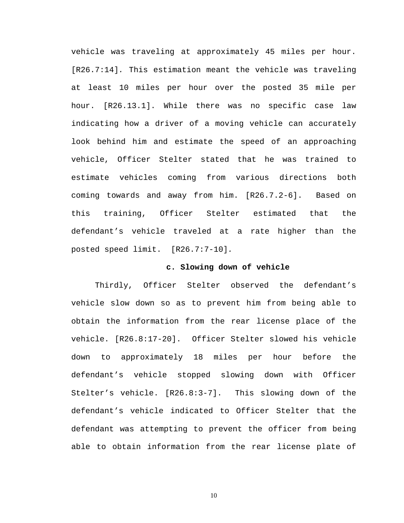vehicle was traveling at approximately 45 miles per hour. [R26.7:14]. This estimation meant the vehicle was traveling at least 10 miles per hour over the posted 35 mile per hour. [R26.13.1]. While there was no specific case law indicating how a driver of a moving vehicle can accurately look behind him and estimate the speed of an approaching vehicle, Officer Stelter stated that he was trained to estimate vehicles coming from various directions both coming towards and away from him. [R26.7.2-6]. Based on this training, Officer Stelter estimated that the defendant's vehicle traveled at a rate higher than the posted speed limit. [R26.7:7-10].

#### **c. Slowing down of vehicle**

Thirdly, Officer Stelter observed the defendant's vehicle slow down so as to prevent him from being able to obtain the information from the rear license place of the vehicle. [R26.8:17-20]. Officer Stelter slowed his vehicle down to approximately 18 miles per hour before the defendant's vehicle stopped slowing down with Officer Stelter's vehicle. [R26.8:3-7]. This slowing down of the defendant's vehicle indicated to Officer Stelter that the defendant was attempting to prevent the officer from being able to obtain information from the rear license plate of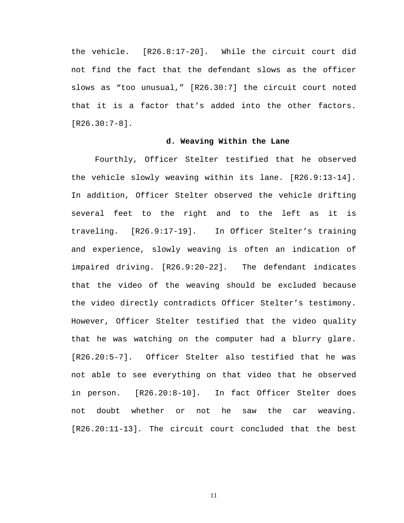the vehicle. [R26.8:17-20]. While the circuit court did not find the fact that the defendant slows as the officer slows as "too unusual," [R26.30:7] the circuit court noted that it is a factor that's added into the other factors. [R26.30:7-8].

## **d. Weaving Within the Lane**

Fourthly, Officer Stelter testified that he observed the vehicle slowly weaving within its lane. [R26.9:13-14]. In addition, Officer Stelter observed the vehicle drifting several feet to the right and to the left as it is traveling. [R26.9:17-19]. In Officer Stelter's training and experience, slowly weaving is often an indication of impaired driving. [R26.9:20-22]. The defendant indicates that the video of the weaving should be excluded because the video directly contradicts Officer Stelter's testimony. However, Officer Stelter testified that the video quality that he was watching on the computer had a blurry glare. [R26.20:5-7]. Officer Stelter also testified that he was not able to see everything on that video that he observed in person. [R26.20:8-10]. In fact Officer Stelter does not doubt whether or not he saw the car weaving. [R26.20:11-13]. The circuit court concluded that the best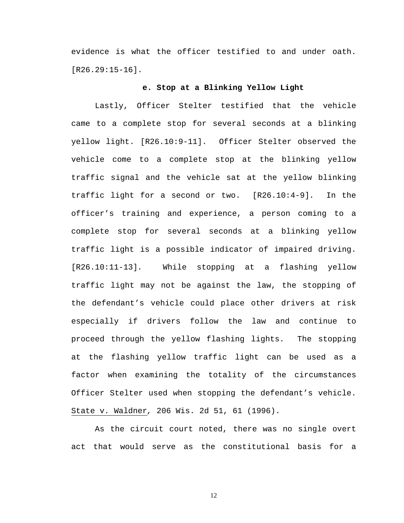evidence is what the officer testified to and under oath. [R26.29:15-16].

#### **e. Stop at a Blinking Yellow Light**

Lastly, Officer Stelter testified that the vehicle came to a complete stop for several seconds at a blinking yellow light. [R26.10:9-11]. Officer Stelter observed the vehicle come to a complete stop at the blinking yellow traffic signal and the vehicle sat at the yellow blinking traffic light for a second or two. [R26.10:4-9]. In the officer's training and experience, a person coming to a complete stop for several seconds at a blinking yellow traffic light is a possible indicator of impaired driving. [R26.10:11-13]. While stopping at a flashing yellow traffic light may not be against the law, the stopping of the defendant's vehicle could place other drivers at risk especially if drivers follow the law and continue to proceed through the yellow flashing lights. The stopping at the flashing yellow traffic light can be used as a factor when examining the totality of the circumstances Officer Stelter used when stopping the defendant's vehicle. State v. Waldner, 206 Wis. 2d 51, 61 (1996).

As the circuit court noted, there was no single overt act that would serve as the constitutional basis for a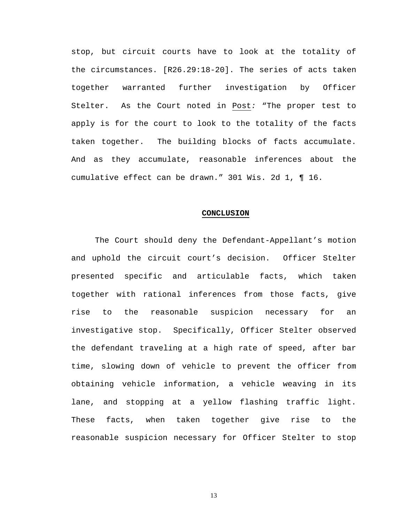stop, but circuit courts have to look at the totality of the circumstances. [R26.29:18-20]. The series of acts taken together warranted further investigation by Officer Stelter. As the Court noted in Post: "The proper test to apply is for the court to look to the totality of the facts taken together. The building blocks of facts accumulate. And as they accumulate, reasonable inferences about the cumulative effect can be drawn." 301 Wis. 2d 1, ¶ 16.

#### **CONCLUSION**

The Court should deny the Defendant-Appellant's motion and uphold the circuit court's decision. Officer Stelter presented specific and articulable facts, which taken together with rational inferences from those facts, give rise to the reasonable suspicion necessary for an investigative stop. Specifically, Officer Stelter observed the defendant traveling at a high rate of speed, after bar time, slowing down of vehicle to prevent the officer from obtaining vehicle information, a vehicle weaving in its lane, and stopping at a yellow flashing traffic light. These facts, when taken together give rise to the reasonable suspicion necessary for Officer Stelter to stop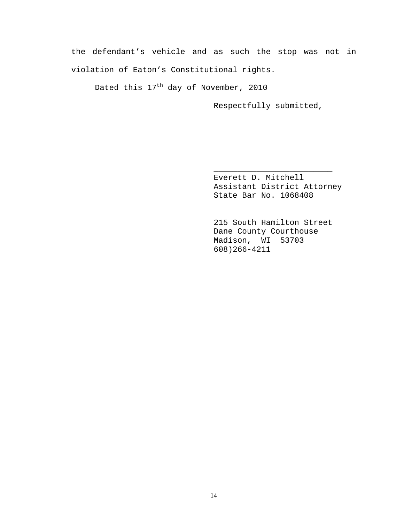the defendant's vehicle and as such the stop was not in violation of Eaton's Constitutional rights.

 $\frac{1}{\sqrt{2\pi}}$  ,  $\frac{1}{\sqrt{2\pi}}$  ,  $\frac{1}{\sqrt{2\pi}}$  ,  $\frac{1}{\sqrt{2\pi}}$  ,  $\frac{1}{\sqrt{2\pi}}$  ,  $\frac{1}{\sqrt{2\pi}}$  ,  $\frac{1}{\sqrt{2\pi}}$  ,  $\frac{1}{\sqrt{2\pi}}$  ,  $\frac{1}{\sqrt{2\pi}}$  ,  $\frac{1}{\sqrt{2\pi}}$  ,  $\frac{1}{\sqrt{2\pi}}$  ,  $\frac{1}{\sqrt{2\pi}}$  ,  $\frac{1}{\sqrt{2\pi}}$  ,

Dated this  $17<sup>th</sup>$  day of November, 2010

Respectfully submitted,

Everett D. Mitchell Assistant District Attorney State Bar No. 1068408

 215 South Hamilton Street Dane County Courthouse Madison, WI 53703 608)266-4211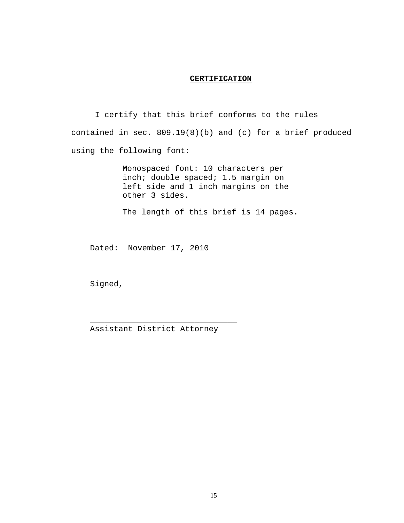#### **CERTIFICATION**

I certify that this brief conforms to the rules contained in sec. 809.19(8)(b) and (c) for a brief produced using the following font:

> Monospaced font: 10 characters per inch; double spaced; 1.5 margin on left side and 1 inch margins on the other 3 sides.

The length of this brief is 14 pages.

Dated: November 17, 2010

Signed,

Assistant District Attorney

\_\_\_\_\_\_\_\_\_\_\_\_\_\_\_\_\_\_\_\_\_\_\_\_\_\_\_\_\_\_\_